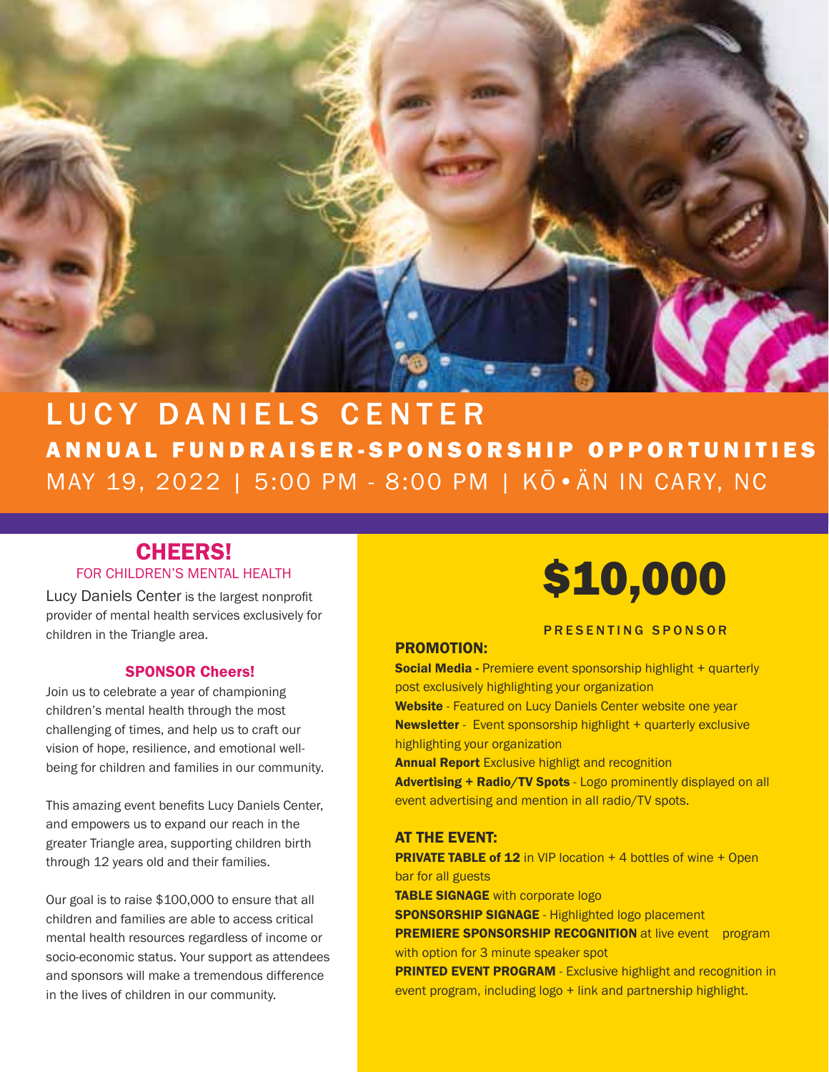

# LUCY DANIELS CENTER ANNUAL FUNDRAISER-SPONSORSHIP OPPORTUNITIES MAY 19, 2022 | 5:00 PM - 8:00 PM | KŌ•ÄN IN CARY, NC

# CHEERS! FOR CHILDREN'S MENTAL HEALTH

Lucy Daniels Center is the largest nonprofit provider of mental health services exclusively for children in the Triangle area.

## SPONSOR Cheers!

Join us to celebrate a year of championing children's mental health through the most challenging of times, and help us to craft our vision of hope, resilience, and emotional wellbeing for children and families in our community.

This amazing event benefits Lucy Daniels Center, and empowers us to expand our reach in the greater Triangle area, supporting children birth through 12 years old and their families.

Our goal is to raise \$100,000 to ensure that all children and families are able to access critical mental health resources regardless of income or socio-economic status. Your support as attendees and sponsors will make a tremendous difference in the lives of children in our community.



## PRESENTING SPONSOR

# PROMOTION:

Social Media - Premiere event sponsorship highlight + quarterly post exclusively highlighting your organization Website - Featured on Lucy Daniels Center website one year **Newsletter** - Event sponsorship highlight + quarterly exclusive highlighting your organization **Annual Report** Exclusive highligt and recognition Advertising + Radio/TV Spots - Logo prominently displayed on all event advertising and mention in all radio/TV spots.

### AT THE EVENT:

**PRIVATE TABLE of 12** in VIP location  $+$  4 bottles of wine  $+$  Open bar for all guests TABLE SIGNAGE with corporate logo **SPONSORSHIP SIGNAGE** - Highlighted logo placement **PREMIERE SPONSORSHIP RECOGNITION** at live event program with option for 3 minute speaker spot **PRINTED EVENT PROGRAM** - Exclusive highlight and recognition in event program, including logo + link and partnership highlight.